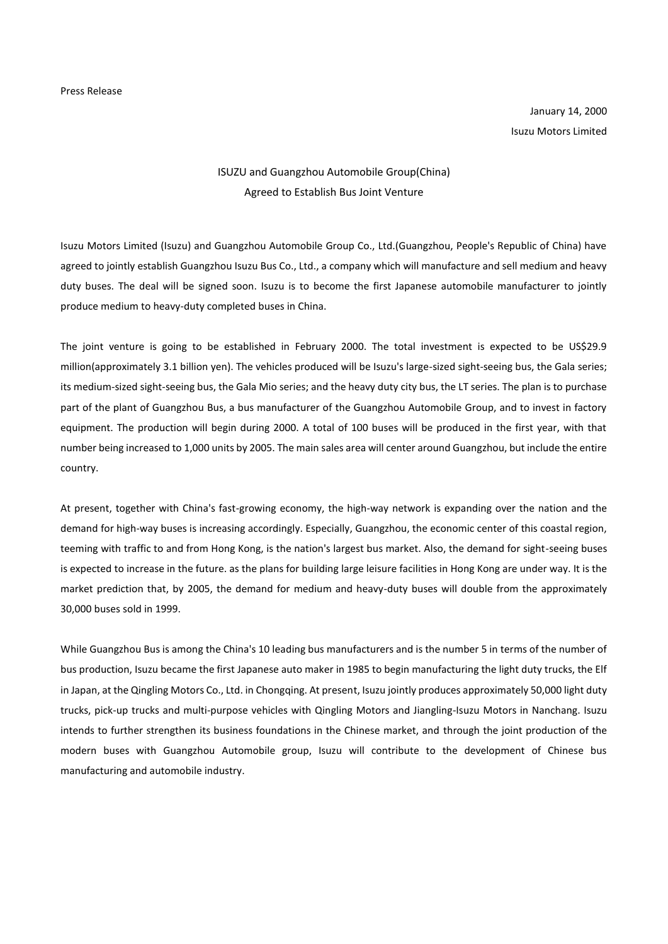January 14, 2000 Isuzu Motors Limited

## ISUZU and Guangzhou Automobile Group(China) Agreed to Establish Bus Joint Venture

Isuzu Motors Limited (Isuzu) and Guangzhou Automobile Group Co., Ltd.(Guangzhou, People's Republic of China) have agreed to jointly establish Guangzhou Isuzu Bus Co., Ltd., a company which will manufacture and sell medium and heavy duty buses. The deal will be signed soon. Isuzu is to become the first Japanese automobile manufacturer to jointly produce medium to heavy-duty completed buses in China.

The joint venture is going to be established in February 2000. The total investment is expected to be US\$29.9 million(approximately 3.1 billion yen). The vehicles produced will be Isuzu's large-sized sight-seeing bus, the Gala series; its medium-sized sight-seeing bus, the Gala Mio series; and the heavy duty city bus, the LT series. The plan is to purchase part of the plant of Guangzhou Bus, a bus manufacturer of the Guangzhou Automobile Group, and to invest in factory equipment. The production will begin during 2000. A total of 100 buses will be produced in the first year, with that number being increased to 1,000 units by 2005. The main sales area will center around Guangzhou, but include the entire country.

At present, together with China's fast-growing economy, the high-way network is expanding over the nation and the demand for high-way buses is increasing accordingly. Especially, Guangzhou, the economic center of this coastal region, teeming with traffic to and from Hong Kong, is the nation's largest bus market. Also, the demand for sight-seeing buses is expected to increase in the future. as the plans for building large leisure facilities in Hong Kong are under way. It is the market prediction that, by 2005, the demand for medium and heavy-duty buses will double from the approximately 30,000 buses sold in 1999.

While Guangzhou Bus is among the China's 10 leading bus manufacturers and is the number 5 in terms of the number of bus production, Isuzu became the first Japanese auto maker in 1985 to begin manufacturing the light duty trucks, the Elf in Japan, at the Qingling Motors Co., Ltd. in Chongqing. At present, Isuzu jointly produces approximately 50,000 light duty trucks, pick-up trucks and multi-purpose vehicles with Qingling Motors and Jiangling-Isuzu Motors in Nanchang. Isuzu intends to further strengthen its business foundations in the Chinese market, and through the joint production of the modern buses with Guangzhou Automobile group, Isuzu will contribute to the development of Chinese bus manufacturing and automobile industry.